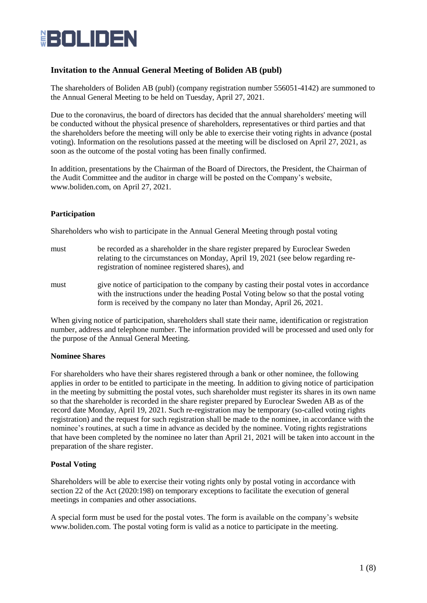

# **Invitation to the Annual General Meeting of Boliden AB (publ)**

The shareholders of Boliden AB (publ) (company registration number 556051-4142) are summoned to the Annual General Meeting to be held on Tuesday, April 27, 2021.

Due to the coronavirus, the board of directors has decided that the annual shareholders' meeting will be conducted without the physical presence of shareholders, representatives or third parties and that the shareholders before the meeting will only be able to exercise their voting rights in advance (postal voting). Information on the resolutions passed at the meeting will be disclosed on April 27, 2021, as soon as the outcome of the postal voting has been finally confirmed.

In addition, presentations by the Chairman of the Board of Directors, the President, the Chairman of the Audit Committee and the auditor in charge will be posted on the Company's website, www.boliden.com, on April 27, 2021.

### **Participation**

Shareholders who wish to participate in the Annual General Meeting through postal voting

- must be recorded as a shareholder in the share register prepared by Euroclear Sweden relating to the circumstances on Monday, April 19, 2021 (see below regarding reregistration of nominee registered shares), and
- must give notice of participation to the company by casting their postal votes in accordance with the instructions under the heading Postal Voting below so that the postal voting form is received by the company no later than Monday, April 26, 2021.

When giving notice of participation, shareholders shall state their name, identification or registration number, address and telephone number. The information provided will be processed and used only for the purpose of the Annual General Meeting.

### **Nominee Shares**

For shareholders who have their shares registered through a bank or other nominee, the following applies in order to be entitled to participate in the meeting. In addition to giving notice of participation in the meeting by submitting the postal votes, such shareholder must register its shares in its own name so that the shareholder is recorded in the share register prepared by Euroclear Sweden AB as of the record date Monday, April 19, 2021. Such re-registration may be temporary (so-called voting rights registration) and the request for such registration shall be made to the nominee, in accordance with the nominee's routines, at such a time in advance as decided by the nominee. Voting rights registrations that have been completed by the nominee no later than April 21, 2021 will be taken into account in the preparation of the share register.

# **Postal Voting**

Shareholders will be able to exercise their voting rights only by postal voting in accordance with section 22 of the Act (2020:198) on temporary exceptions to facilitate the execution of general meetings in companies and other associations.

A special form must be used for the postal votes. The form is available on the company's website www.boliden.com. The postal voting form is valid as a notice to participate in the meeting.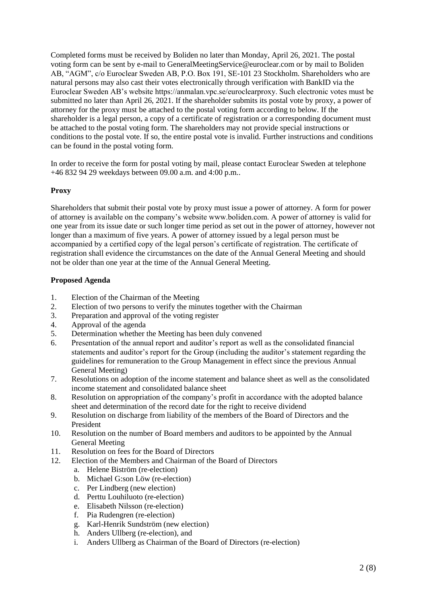Completed forms must be received by Boliden no later than Monday, April 26, 2021. The postal voting form can be sent by e-mail to GeneralMeetingService@euroclear.com or by mail to Boliden AB, "AGM", c/o Euroclear Sweden AB, P.O. Box 191, SE-101 23 Stockholm. Shareholders who are natural persons may also cast their votes electronically through verification with BankID via the Euroclear Sweden AB's website https://anmalan.vpc.se/euroclearproxy. Such electronic votes must be submitted no later than April 26, 2021. If the shareholder submits its postal vote by proxy, a power of attorney for the proxy must be attached to the postal voting form according to below. If the shareholder is a legal person, a copy of a certificate of registration or a corresponding document must be attached to the postal voting form. The shareholders may not provide special instructions or conditions to the postal vote. If so, the entire postal vote is invalid. Further instructions and conditions can be found in the postal voting form.

In order to receive the form for postal voting by mail, please contact Euroclear Sweden at telephone +46 832 94 29 weekdays between 09.00 a.m. and 4:00 p.m..

### **Proxy**

Shareholders that submit their postal vote by proxy must issue a power of attorney. A form for power of attorney is available on the company's website www.boliden.com. A power of attorney is valid for one year from its issue date or such longer time period as set out in the power of attorney, however not longer than a maximum of five years. A power of attorney issued by a legal person must be accompanied by a certified copy of the legal person's certificate of registration. The certificate of registration shall evidence the circumstances on the date of the Annual General Meeting and should not be older than one year at the time of the Annual General Meeting.

### **Proposed Agenda**

- 1. Election of the Chairman of the Meeting
- 2. Election of two persons to verify the minutes together with the Chairman
- 3. Preparation and approval of the voting register
- 4. Approval of the agenda
- 5. Determination whether the Meeting has been duly convened
- 6. Presentation of the annual report and auditor's report as well as the consolidated financial statements and auditor's report for the Group (including the auditor's statement regarding the guidelines for remuneration to the Group Management in effect since the previous Annual General Meeting)
- 7. Resolutions on adoption of the income statement and balance sheet as well as the consolidated income statement and consolidated balance sheet
- 8. Resolution on appropriation of the company's profit in accordance with the adopted balance sheet and determination of the record date for the right to receive dividend
- 9. Resolution on discharge from liability of the members of the Board of Directors and the President
- 10. Resolution on the number of Board members and auditors to be appointed by the Annual General Meeting
- 11. Resolution on fees for the Board of Directors
- 12. Election of the Members and Chairman of the Board of Directors
	- a. Helene Biström (re-election)
	- b. Michael G:son Löw (re-election)
	- c. Per Lindberg (new election)
	- d. Perttu Louhiluoto (re-election)
	- e. Elisabeth Nilsson (re-election)
	- f. Pia Rudengren (re-election)
	- g. Karl-Henrik Sundström (new election)
	- h. Anders Ullberg (re-election), and
	- i. Anders Ullberg as Chairman of the Board of Directors (re-election)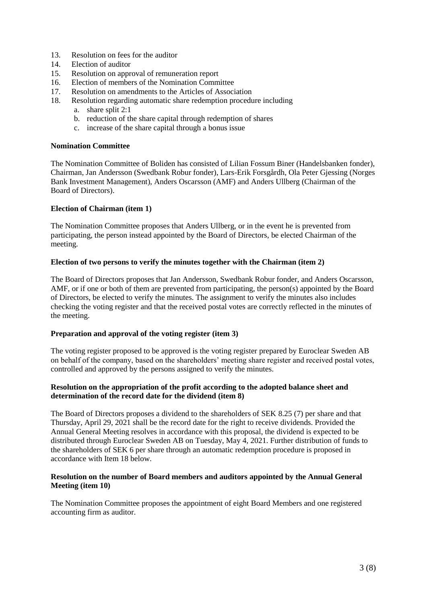- 13. Resolution on fees for the auditor
- 14. Election of auditor
- 15. Resolution on approval of remuneration report
- 16. Election of members of the Nomination Committee
- 17. Resolution on amendments to the Articles of Association
- 18. Resolution regarding automatic share redemption procedure including
	- a. share split 2:1
	- b. reduction of the share capital through redemption of shares
	- c. increase of the share capital through a bonus issue

### **Nomination Committee**

The Nomination Committee of Boliden has consisted of Lilian Fossum Biner (Handelsbanken fonder), Chairman, Jan Andersson (Swedbank Robur fonder), Lars-Erik Forsgårdh, Ola Peter Gjessing (Norges Bank Investment Management), Anders Oscarsson (AMF) and Anders Ullberg (Chairman of the Board of Directors).

### **Election of Chairman (item 1)**

The Nomination Committee proposes that Anders Ullberg, or in the event he is prevented from participating, the person instead appointed by the Board of Directors, be elected Chairman of the meeting.

### **Election of two persons to verify the minutes together with the Chairman (item 2)**

The Board of Directors proposes that Jan Andersson, Swedbank Robur fonder, and Anders Oscarsson, AMF, or if one or both of them are prevented from participating, the person(s) appointed by the Board of Directors, be elected to verify the minutes. The assignment to verify the minutes also includes checking the voting register and that the received postal votes are correctly reflected in the minutes of the meeting.

### **Preparation and approval of the voting register (item 3)**

The voting register proposed to be approved is the voting register prepared by Euroclear Sweden AB on behalf of the company, based on the shareholders' meeting share register and received postal votes, controlled and approved by the persons assigned to verify the minutes.

### **Resolution on the appropriation of the profit according to the adopted balance sheet and determination of the record date for the dividend (item 8)**

The Board of Directors proposes a dividend to the shareholders of SEK 8.25 (7) per share and that Thursday, April 29, 2021 shall be the record date for the right to receive dividends. Provided the Annual General Meeting resolves in accordance with this proposal, the dividend is expected to be distributed through Euroclear Sweden AB on Tuesday, May 4, 2021. Further distribution of funds to the shareholders of SEK 6 per share through an automatic redemption procedure is proposed in accordance with Item 18 below.

### **Resolution on the number of Board members and auditors appointed by the Annual General Meeting (item 10)**

The Nomination Committee proposes the appointment of eight Board Members and one registered accounting firm as auditor.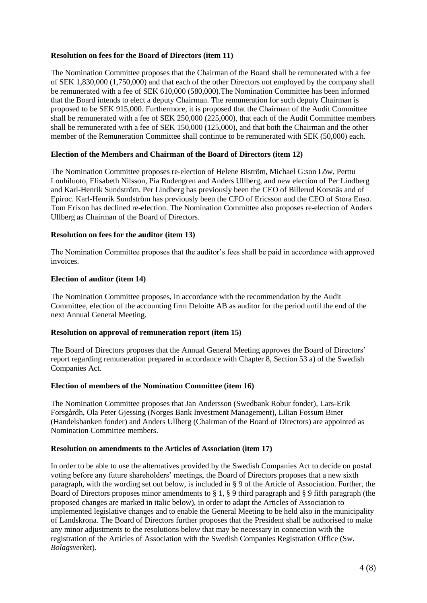### **Resolution on fees for the Board of Directors (item 11)**

The Nomination Committee proposes that the Chairman of the Board shall be remunerated with a fee of SEK 1,830,000 (1,750,000) and that each of the other Directors not employed by the company shall be remunerated with a fee of SEK 610,000 (580,000).The Nomination Committee has been informed that the Board intends to elect a deputy Chairman. The remuneration for such deputy Chairman is proposed to be SEK 915,000. Furthermore, it is proposed that the Chairman of the Audit Committee shall be remunerated with a fee of SEK 250,000 (225,000), that each of the Audit Committee members shall be remunerated with a fee of SEK 150,000 (125,000), and that both the Chairman and the other member of the Remuneration Committee shall continue to be remunerated with SEK (50,000) each.

### **Election of the Members and Chairman of the Board of Directors (item 12)**

The Nomination Committee proposes re-election of Helene Biström, Michael G:son Löw, Perttu Louhiluoto, Elisabeth Nilsson, Pia Rudengren and Anders Ullberg, and new election of Per Lindberg and Karl-Henrik Sundström. Per Lindberg has previously been the CEO of Billerud Korsnäs and of Epiroc. Karl-Henrik Sundström has previously been the CFO of Ericsson and the CEO of Stora Enso. Tom Erixon has declined re-election. The Nomination Committee also proposes re-election of Anders Ullberg as Chairman of the Board of Directors.

### **Resolution on fees for the auditor (item 13)**

The Nomination Committee proposes that the auditor's fees shall be paid in accordance with approved invoices.

### **Election of auditor (item 14)**

The Nomination Committee proposes, in accordance with the recommendation by the Audit Committee, election of the accounting firm Deloitte AB as auditor for the period until the end of the next Annual General Meeting.

### **Resolution on approval of remuneration report (item 15)**

The Board of Directors proposes that the Annual General Meeting approves the Board of Directors' report regarding remuneration prepared in accordance with Chapter 8, Section 53 a) of the Swedish Companies Act.

### **Election of members of the Nomination Committee (item 16)**

The Nomination Committee proposes that Jan Andersson (Swedbank Robur fonder), Lars-Erik Forsgårdh, Ola Peter Gjessing (Norges Bank Investment Management), Lilian Fossum Biner (Handelsbanken fonder) and Anders Ullberg (Chairman of the Board of Directors) are appointed as Nomination Committee members.

### **Resolution on amendments to the Articles of Association (item 17)**

In order to be able to use the alternatives provided by the Swedish Companies Act to decide on postal voting before any future shareholders' meetings, the Board of Directors proposes that a new sixth paragraph, with the wording set out below, is included in § 9 of the Article of Association. Further, the Board of Directors proposes minor amendments to § 1, § 9 third paragraph and § 9 fifth paragraph (the proposed changes are marked in italic below), in order to adapt the Articles of Association to implemented legislative changes and to enable the General Meeting to be held also in the municipality of Landskrona. The Board of Directors further proposes that the President shall be authorised to make any minor adjustments to the resolutions below that may be necessary in connection with the registration of the Articles of Association with the Swedish Companies Registration Office (Sw. *Bolagsverket*).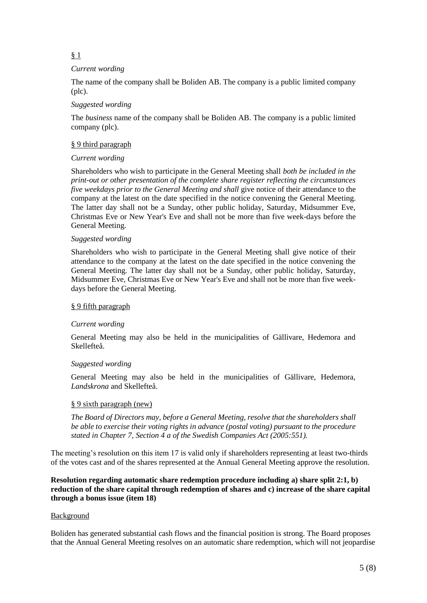# § 1

### *Current wording*

The name of the company shall be Boliden AB. The company is a public limited company (plc).

### *Suggested wording*

The *business* name of the company shall be Boliden AB. The company is a public limited company (plc).

### § 9 third paragraph

### *Current wording*

Shareholders who wish to participate in the General Meeting shall *both be included in the print-out or other presentation of the complete share register reflecting the circumstances five weekdays prior to the General Meeting and shall* give notice of their attendance to the company at the latest on the date specified in the notice convening the General Meeting. The latter day shall not be a Sunday, other public holiday, Saturday, Midsummer Eve, Christmas Eve or New Year's Eve and shall not be more than five week-days before the General Meeting.

### *Suggested wording*

Shareholders who wish to participate in the General Meeting shall give notice of their attendance to the company at the latest on the date specified in the notice convening the General Meeting. The latter day shall not be a Sunday, other public holiday, Saturday, Midsummer Eve, Christmas Eve or New Year's Eve and shall not be more than five weekdays before the General Meeting.

### § 9 fifth paragraph

### *Current wording*

General Meeting may also be held in the municipalities of Gällivare, Hedemora and Skellefteå.

### *Suggested wording*

General Meeting may also be held in the municipalities of Gällivare, Hedemora, *Landskrona* and Skellefteå.

### § 9 sixth paragraph (new)

*The Board of Directors may, before a General Meeting, resolve that the shareholders shall be able to exercise their voting rights in advance (postal voting) pursuant to the procedure stated in Chapter 7, Section 4 a of the Swedish Companies Act (2005:551).*

The meeting's resolution on this item 17 is valid only if shareholders representing at least two-thirds of the votes cast and of the shares represented at the Annual General Meeting approve the resolution.

### **Resolution regarding automatic share redemption procedure including a) share split 2:1, b) reduction of the share capital through redemption of shares and c) increase of the share capital through a bonus issue (item 18)**

### Background

Boliden has generated substantial cash flows and the financial position is strong. The Board proposes that the Annual General Meeting resolves on an automatic share redemption, which will not jeopardise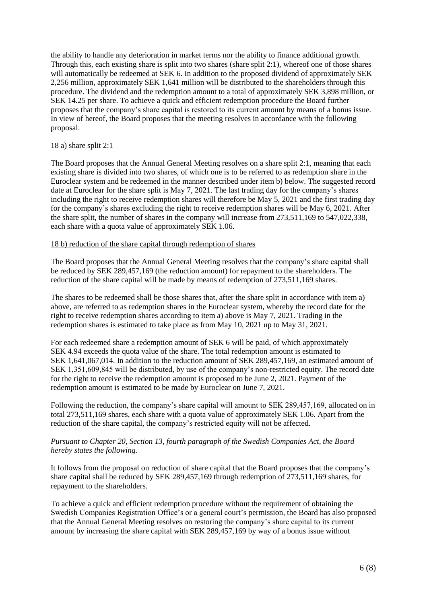the ability to handle any deterioration in market terms nor the ability to finance additional growth. Through this, each existing share is split into two shares (share split 2:1), whereof one of those shares will automatically be redeemed at SEK 6. In addition to the proposed dividend of approximately SEK 2,256 million, approximately SEK 1,641 million will be distributed to the shareholders through this procedure. The dividend and the redemption amount to a total of approximately SEK 3,898 million, or SEK 14.25 per share. To achieve a quick and efficient redemption procedure the Board further proposes that the company's share capital is restored to its current amount by means of a bonus issue. In view of hereof, the Board proposes that the meeting resolves in accordance with the following proposal.

### 18 a) share split 2:1

The Board proposes that the Annual General Meeting resolves on a share split 2:1, meaning that each existing share is divided into two shares, of which one is to be referred to as redemption share in the Euroclear system and be redeemed in the manner described under item b) below. The suggested record date at Euroclear for the share split is May 7, 2021. The last trading day for the company's shares including the right to receive redemption shares will therefore be May 5, 2021 and the first trading day for the company's shares excluding the right to receive redemption shares will be May 6, 2021. After the share split, the number of shares in the company will increase from 273,511,169 to 547,022,338, each share with a quota value of approximately SEK 1.06.

### 18 b) reduction of the share capital through redemption of shares

The Board proposes that the Annual General Meeting resolves that the company's share capital shall be reduced by SEK 289,457,169 (the reduction amount) for repayment to the shareholders. The reduction of the share capital will be made by means of redemption of 273,511,169 shares.

The shares to be redeemed shall be those shares that, after the share split in accordance with item a) above, are referred to as redemption shares in the Euroclear system, whereby the record date for the right to receive redemption shares according to item a) above is May 7, 2021. Trading in the redemption shares is estimated to take place as from May 10, 2021 up to May 31, 2021.

For each redeemed share a redemption amount of SEK 6 will be paid, of which approximately SEK 4.94 exceeds the quota value of the share. The total redemption amount is estimated to SEK 1,641,067,014. In addition to the reduction amount of SEK 289,457,169, an estimated amount of SEK 1,351,609,845 will be distributed, by use of the company's non-restricted equity. The record date for the right to receive the redemption amount is proposed to be June 2, 2021. Payment of the redemption amount is estimated to be made by Euroclear on June 7, 2021.

Following the reduction, the company's share capital will amount to SEK 289,457,169, allocated on in total 273,511,169 shares, each share with a quota value of approximately SEK 1.06. Apart from the reduction of the share capital, the company's restricted equity will not be affected.

### *Pursuant to Chapter 20, Section 13, fourth paragraph of the Swedish Companies Act, the Board hereby states the following.*

It follows from the proposal on reduction of share capital that the Board proposes that the company's share capital shall be reduced by SEK 289,457,169 through redemption of 273,511,169 shares, for repayment to the shareholders.

To achieve a quick and efficient redemption procedure without the requirement of obtaining the Swedish Companies Registration Office's or a general court's permission, the Board has also proposed that the Annual General Meeting resolves on restoring the company's share capital to its current amount by increasing the share capital with SEK 289,457,169 by way of a bonus issue without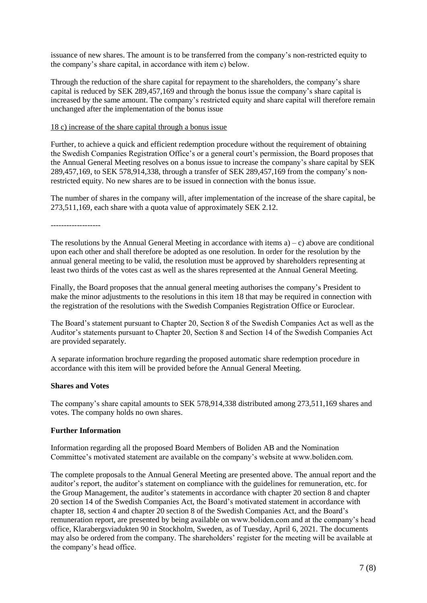issuance of new shares. The amount is to be transferred from the company's non-restricted equity to the company's share capital, in accordance with item c) below.

Through the reduction of the share capital for repayment to the shareholders, the company's share capital is reduced by SEK 289,457,169 and through the bonus issue the company's share capital is increased by the same amount. The company's restricted equity and share capital will therefore remain unchanged after the implementation of the bonus issue

#### 18 c) increase of the share capital through a bonus issue

Further, to achieve a quick and efficient redemption procedure without the requirement of obtaining the Swedish Companies Registration Office's or a general court's permission, the Board proposes that the Annual General Meeting resolves on a bonus issue to increase the company's share capital by SEK 289,457,169, to SEK 578,914,338, through a transfer of SEK 289,457,169 from the company's nonrestricted equity. No new shares are to be issued in connection with the bonus issue.

The number of shares in the company will, after implementation of the increase of the share capital, be 273,511,169, each share with a quota value of approximately SEK 2.12.

-------------------

The resolutions by the Annual General Meeting in accordance with items  $a$ ) – c) above are conditional upon each other and shall therefore be adopted as one resolution. In order for the resolution by the annual general meeting to be valid, the resolution must be approved by shareholders representing at least two thirds of the votes cast as well as the shares represented at the Annual General Meeting.

Finally, the Board proposes that the annual general meeting authorises the company's President to make the minor adjustments to the resolutions in this item 18 that may be required in connection with the registration of the resolutions with the Swedish Companies Registration Office or Euroclear.

The Board's statement pursuant to Chapter 20, Section 8 of the Swedish Companies Act as well as the Auditor's statements pursuant to Chapter 20, Section 8 and Section 14 of the Swedish Companies Act are provided separately.

A separate information brochure regarding the proposed automatic share redemption procedure in accordance with this item will be provided before the Annual General Meeting.

### **Shares and Votes**

The company's share capital amounts to SEK 578,914,338 distributed among 273,511,169 shares and votes. The company holds no own shares.

### **Further Information**

Information regarding all the proposed Board Members of Boliden AB and the Nomination Committee's motivated statement are available on the company's website at www.boliden.com.

The complete proposals to the Annual General Meeting are presented above. The annual report and the auditor's report, the auditor's statement on compliance with the guidelines for remuneration, etc. for the Group Management, the auditor's statements in accordance with chapter 20 section 8 and chapter 20 section 14 of the Swedish Companies Act, the Board's motivated statement in accordance with chapter 18, section 4 and chapter 20 section 8 of the Swedish Companies Act, and the Board's remuneration report, are presented by being available on www.boliden.com and at the company's head office, Klarabergsviadukten 90 in Stockholm, Sweden, as of Tuesday, April 6, 2021. The documents may also be ordered from the company. The shareholders' register for the meeting will be available at the company's head office.